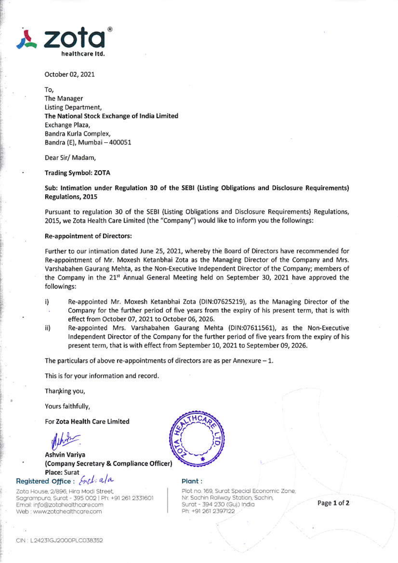

October 02, 2021

To. The Manager **Listing Department.** The National Stock Exchange of India Limited Exchange Plaza, Bandra Kurla Complex, Bandra (E), Mumbai - 400051

Dear Sir/ Madam,

### **Trading Symbol: ZOTA**

Sub: Intimation under Regulation 30 of the SEBI (Listing Obligations and Disclosure Requirements) Regulations, 2015

Pursuant to regulation 30 of the SEBI (Listing Obligations and Disclosure Requirements) Regulations, 2015, we Zota Health Care Limited (the "Company") would like to inform you the followings:

### **Re-appointment of Directors:**

Further to our intimation dated June 25, 2021, whereby the Board of Directors have recommended for Re-appointment of Mr. Moxesh Ketanbhai Zota as the Managing Director of the Company and Mrs. Varshabahen Gaurang Mehta, as the Non-Executive Independent Director of the Company; members of the Company in the 21st Annual General Meeting held on September 30, 2021 have approved the followings:

- Re-appointed Mr. Moxesh Ketanbhai Zota (DIN:07625219), as the Managing Director of the i) Company for the further period of five years from the expiry of his present term, that is with š. effect from October 07, 2021 to October 06, 2026.
- Re-appointed Mrs. Varshabahen Gaurang Mehta (DIN:07611561), as the Non-Executive ii) Independent Director of the Company for the further period of five years from the expiry of his present term, that is with effect from September 10, 2021 to September 09, 2026.

The particulars of above re-appointments of directors are as per Annexure  $-1$ .

This is for your information and record.

Thanking you,

Yours faithfully,

For Zota Health Care Limited

Ashvin Variva (Company Secretary & Compliance Officer) Place: Surat

# Registered Office: Encl. a/a

Zota House, 2/896, Hira Modi Street, Sagrampura, Surat - 395 002 | Ph: +91 261 2331601 Email: info@zotahealthcare.com Web : www.zotahealthcare.com



Plant:

Plot no. 169, Surat Special Economic Zone, Nr. Sachin Railway Station, Sachin, Surat - 394 230 (Guj) India Ph: +91 261 2397122

Page 1 of 2